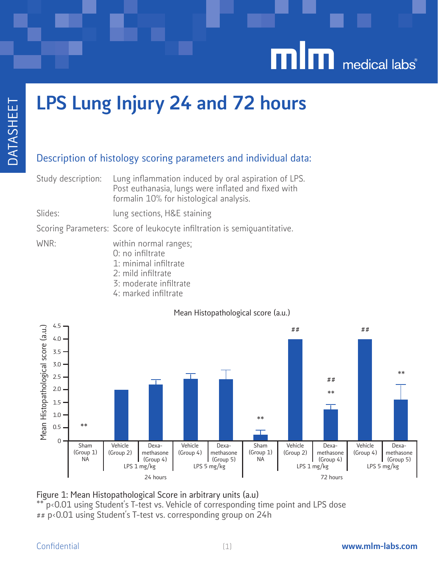

# LPS Lung Injury 24 and 72 hours

# Description of histology scoring parameters and individual data:

Study description: Lung inflammation induced by oral aspiration of LPS. Post euthanasia, lungs were inflated and fixed with formalin 10% for histological analysis.

Slides: lung sections, H&E staining

Scoring Parameters: Score of leukocyte infiltration is semiquantitative.

WNR: within normal ranges;

- 0: no infiltrate
- 1: minimal infiltrate
- 2: mild infiltrate
- 3: moderate infiltrate
- 4: marked infiltrate

## Mean Histopathological score (a.u.)



### Figure 1: Mean Histopathological Score in arbitrary units (a.u) p<0.01 using Student's T-test vs. Vehicle of corresponding time point and LPS dose ## p<0.01 using Student's T-test vs. corresponding group on 24h

# Confidential www.mlm-labs.com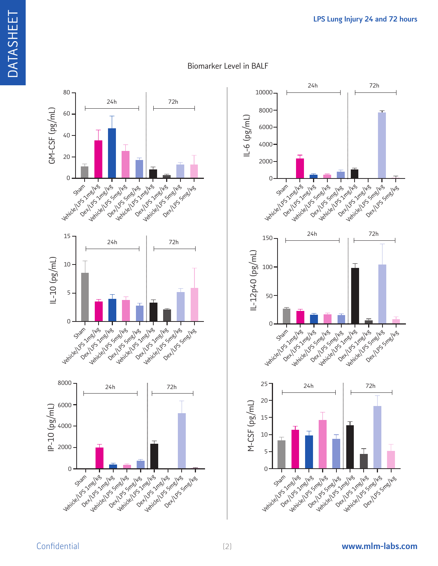

## Biomarker Level in BALF

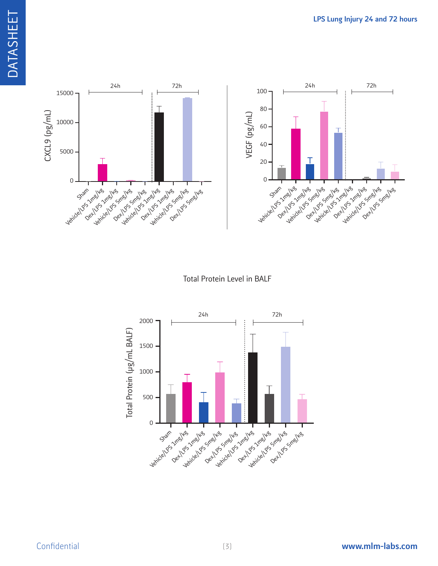



Total Protein Level in BALF